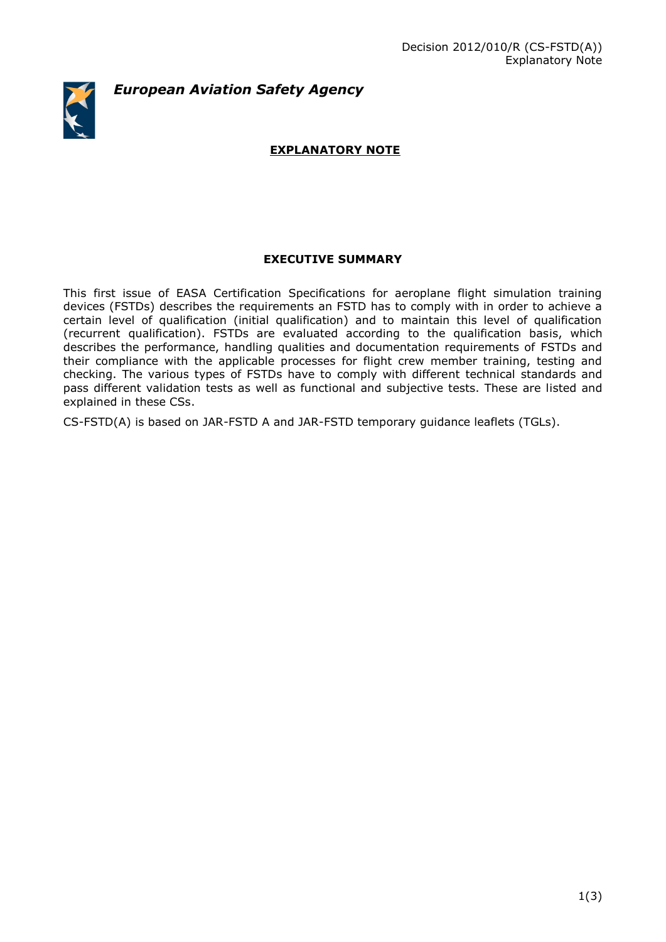*European Aviation Safety Agency*

# **EXPLANATORY NOTE**

# **EXECUTIVE SUMMARY**

This first issue of EASA Certification Specifications for aeroplane flight simulation training devices (FSTDs) describes the requirements an FSTD has to comply with in order to achieve a certain level of qualification (initial qualification) and to maintain this level of qualification (recurrent qualification). FSTDs are evaluated according to the qualification basis, which describes the performance, handling qualities and documentation requirements of FSTDs and their compliance with the applicable processes for flight crew member training, testing and checking. The various types of FSTDs have to comply with different technical standards and pass different validation tests as well as functional and subjective tests. These are listed and explained in these CSs.

CS-FSTD(A) is based on JAR-FSTD A and JAR-FSTD temporary guidance leaflets (TGLs).

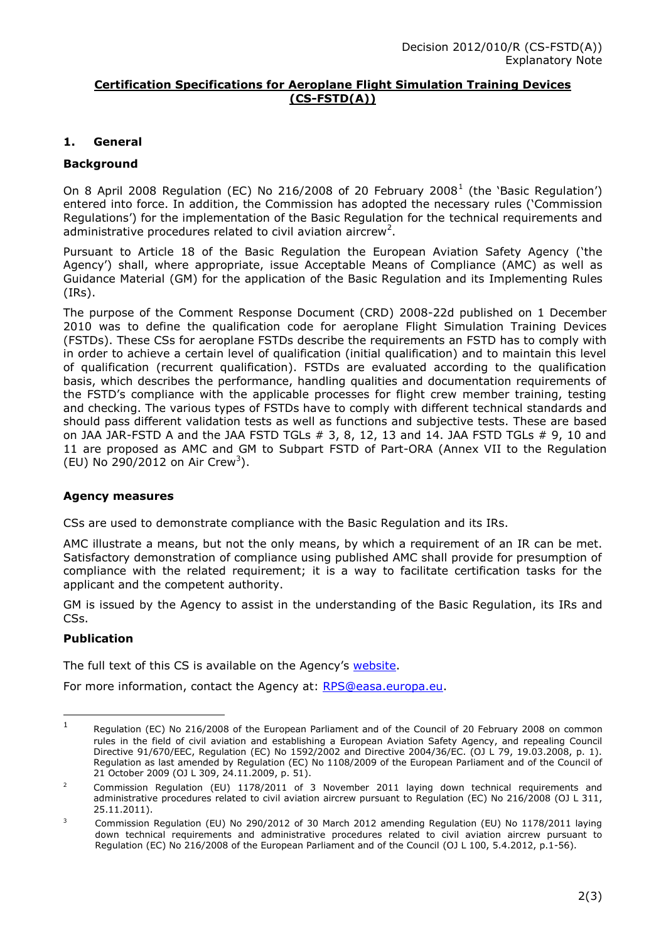#### **Certification Specifications for Aeroplane Flight Simulation Training Devices (CS-FSTD(A))**

# **1. General**

# **Background**

On 8 April 2008 Regulation (EC) No 216/2008 of 20 February 2008<sup>1</sup> (the 'Basic Regulation') entered into force. In addition, the Commission has adopted the necessary rules ('Commission Regulations') for the implementation of the Basic Regulation for the technical requirements and administrative procedures related to civil aviation aircrew<sup>2</sup>.

Pursuant to Article 18 of the Basic Regulation the European Aviation Safety Agency ('the Agency') shall, where appropriate, issue Acceptable Means of Compliance (AMC) as well as Guidance Material (GM) for the application of the Basic Regulation and its Implementing Rules (IRs).

The purpose of the Comment Response Document (CRD) 2008-22d published on 1 December 2010 was to define the qualification code for aeroplane Flight Simulation Training Devices (FSTDs). These CSs for aeroplane FSTDs describe the requirements an FSTD has to comply with in order to achieve a certain level of qualification (initial qualification) and to maintain this level of qualification (recurrent qualification). FSTDs are evaluated according to the qualification basis, which describes the performance, handling qualities and documentation requirements of the FSTD's compliance with the applicable processes for flight crew member training, testing and checking. The various types of FSTDs have to comply with different technical standards and should pass different validation tests as well as functions and subjective tests. These are based on JAA JAR-FSTD A and the JAA FSTD TGLs  $# 3, 8, 12, 13$  and 14. JAA FSTD TGLs  $# 9, 10$  and 11 are proposed as AMC and GM to Subpart FSTD of Part-ORA (Annex VII to the Regulation (EU) No 290/2012 on Air Crew<sup>3</sup>).

# **Agency measures**

CSs are used to demonstrate compliance with the Basic Regulation and its IRs.

AMC illustrate a means, but not the only means, by which a requirement of an IR can be met. Satisfactory demonstration of compliance using published AMC shall provide for presumption of compliance with the related requirement; it is a way to facilitate certification tasks for the applicant and the competent authority.

GM is issued by the Agency to assist in the understanding of the Basic Regulation, its IRs and CSs.

# **Publication**

<u>.</u>

The full text of this CS is available on the Agency's [website.](http://www.easa.europa.eu/agency-measures/certification-specifications.php)

For more information, contact the Agency at: [RPS@easa.europa.eu.](mailto:RPS@easa.europa.eu)

<sup>1</sup> Regulation (EC) No 216/2008 of the European Parliament and of the Council of 20 February 2008 on common rules in the field of civil aviation and establishing a European Aviation Safety Agency, and repealing Council Directive 91/670/EEC, Regulation (EC) No 1592/2002 and Directive 2004/36/EC. (OJ L 79, 19.03.2008, p. 1). Regulation as last amended by Regulation (EC) No 1108/2009 of the European Parliament and of the Council of 21 October 2009 (OJ L 309, 24.11.2009, p. 51).

<sup>2</sup> Commission Regulation (EU) 1178/2011 of 3 November 2011 laying down technical requirements and administrative procedures related to civil aviation aircrew pursuant to Regulation (EC) No 216/2008 (OJ L 311, 25.11.2011).

<sup>&</sup>lt;sup>3</sup> Commission Regulation (EU) No 290/2012 of 30 March 2012 amending Regulation (EU) No 1178/2011 laying down technical requirements and administrative procedures related to civil aviation aircrew pursuant to Regulation (EC) No 216/2008 of the European Parliament and of the Council (OJ L 100, 5.4.2012, p.1-56).